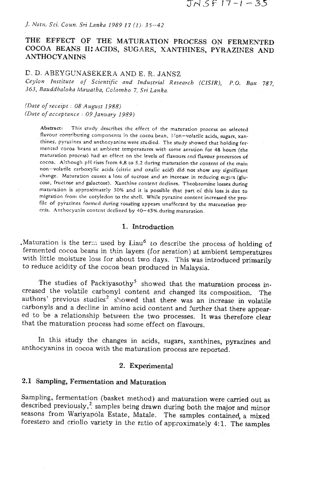JNSF 17-1-35

## *J. Natn. Sci. Coun.* Sri *Lanka 1989 17 (1).* 35-42

# THE EFFECT OF THE MATURATION PROCESS ON FERMENTED COCOA BEANS 11: ACIDS, SUGARS, XANTHINES, PYRAZIMES AND ANTHOCYANINS

# *C.* D. ABEYGUNASEKERA AND E. R. JANSZ

*Ceylon Institute of Scientific and Industrial Research (CISIR), P.O. Box 787, 363, Bauddhaloka Mawatha, Colombo 7, Sri Lanka.* 

# *(Date of receipt* : *08 August 1988) (Date of acceptance* : *09 January 1989)*

Abstract: This study describes the effect of the maturation process on selected flavour contributing components in the cocoa bean. Non-volatile acids, sugars, xanthines, pyrazines and anthocyanins were studied. The study showed that holding fermented cocoa beans at ambient temperatures with some aeration for 48 hours (the maturation process) had an effect on the levels of flavours znd flavour precursors of cocoa. Although pH rises from 4.8 to 5.2 during maturation the content of the main non-volatile carboxylic acids (citric and oxalic acid) did not show any significant change. Maturation causes a loss of sucrose and an increase in reducing **sugas:s** (glucose, fructose and galactose). Xanthine content declines. Theobromine losses during maturation is approximately 30% and it is possible that part of this loss is due to migration from the cotyledon to the shell. **While** pyrazine content increased the profile of pyrazines formed during roasting appears unaffected by the maturation process. Anthocyanin content declined by 40-45% during maturation.

#### 1. Introduction

. Maturation is the term used by Liau<sup>6</sup> to describe the process of holding of fermented cocoa beans in thin layers (for aeration) at ambient temperatures with little moisture loss for about two days. This was introduced primarily to reduce acidity of the cocoa bean produced in Malaysia.

The studies of Packiyasothy<sup>5</sup> showed that the maturation process increased the volatile carbonyl content and changed its composition. The authors' previous studies<sup>2</sup> showed that there was an increase in volatile carbonyls and a decline in amino acid content and further that there appeared to be a relationship between the two processes. It was therefore clear that the maturation process had some effect on flavours.

In this study the changes in acids, sugars, xanthines, pyrazines and anthocyanins in cocoa with the maturation process are reported.

### 2. Experimental

# **2.1 Sampling,** Fermentation and Maturation

Sampling, fermentation (basket method) and maturation were carried out as described previously, $^2$  samples being drawn during both the major and minor seasons from Wariyapola Estate, Matale. The samples contained, a mixed forestero and criollo variety in the ratio of approximately  $4:1$ . The samples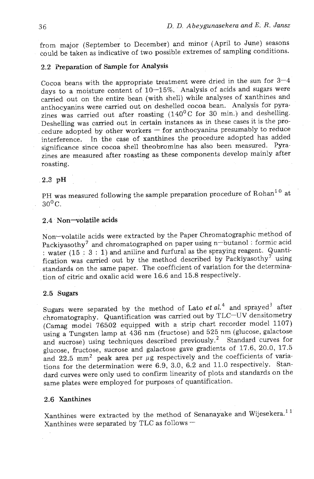from major (September to December) and minor (April to June) seasons could be taken as indicative of two possible extremes of sampling conditions.

# **2.2** Preparation of Sample for Analysis

Cocoa beans with the appropriate treatment were dried in the sun for **3-4**  days to a moisture content of 10-15%. Analysis of acids and sugars were carried out on the entire bean (with shell) while analyses of xanthines and anthocyanins were carried out on deshelled cocoa bean. Analysis for pyrazines was carried out after roasting  $(140^0C)$  for 30 min.) and deshelling. hes was carried out after roasting  $(140 \text{ C})$  for 30 mm.) and desiding.<br>Deshelling was carried out in certain instances as in these cases it is the pro-<br>edure adopted by other workers — for anthocyanins presumably to red cedure adopted by other workers  $-$  for anthocyanins presumably to reduce interference. In the case of xanthines the procedure adopted has added significance since cocoa shell theobromine has also been measured. Pyrazines are measured after roasting as these components develop mainly after roasting.

# $2.3$  pH

PH was measured following the sample preparation procedure of Rohan<sup>10</sup> at  $30^{\circ}$ C.

#### 2.4 Non-volatile acids

Non--volatile acids were extracted by the Paper Chromatographic method of Packiyasothy<sup>7</sup> and chromatographed on paper using n-butanol : formic acid : water (15 : **3** : 1) and aniline and furfural as the spraying reagent. Quantification was carried out by the method described by Packiyasothy<sup>7</sup> using standards on the same paper. The coefficient of variation for the determina- . tion of citric and oxalic acid were 16.6 and 15.8 respectively.

# 2.5 Sugars

Sugars were separated by the method of Lato et al.<sup>4</sup> and sprayed<sup>3</sup> after chromatography. Quantification was carried out by TLC-UV densitometry (Camag model 76502 equipped with a strip chart recorder model 1107) using a Tungsten lamp at **436** nm (fructose) and 525 nm (glucose, galactose and sucrose) using techniques described previously.2 Standard curves for glucose, fructose, sucrose and galactose gave gradients of 17.6, 20.0, 17.5 and 22.5 mm<sup>2</sup> peak area per  $\mu$ g respectively and the coefficients of variations for the determination were 6.9, 3.0, 6.2 and 11.0 respectively. Standard curves were only used to confirm linearity of plots and standards on the same plates were employed for purposes of quantification.

# *2.6* Xanthines

 ${\bf z}$  . All symmes<br>Xanthines were extracted by the method of Senanayake and Wijesekera. $^{11}$ Xanthines were extracted by the method of Sei<br>Xanthines were separated by TLC as follows –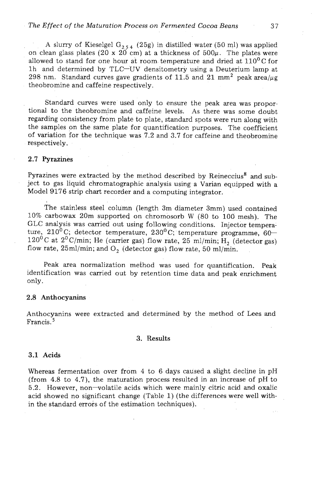#### . *The Effect of the Maturation Process on Fermented Cocoa Beans* **3** 7

A slurry of Kieselgel  $G_{2,5,4}$  (25g) in distilled water (50 ml) was applied on clean glass plates (20 x  $20 \text{ cm}$ ) at a thickness of  $500\mu$ . The plates were allowed to stand for one hour at room temperature and dried at  $110^0$ C for lh and determined by TLC-UV densitometry using a Deuterium lamp at 298 nm. Standard curves gave gradients of 11.5 and 21 mm<sup>2</sup> peak area/ $\mu$ g theobromine and caffeine respectively.

Standard curves were used only to ensure the peak area was proportional to the theobromine and caffeine levels. As there was some doubt regarding consistency from plate to plate, standard spots were run along with the samples on the same plate for quantification purposes. The coefficient of variation for the technique was 7.2 and 3.7 for caffeine and theobromine respectively.

# **2.7 Pyrazines**

Pyrazines were extracted by the method described by Reineccius<sup>8</sup> and subject to gas liquid chromatographic analysis using.a Varian equipped with a Model 9176 strip chart recorder and a computing integrator.

The stainless steel column (length 3m diameter 3mm) used contained 10% carbowax 20m supported on chromosorb W (80 to 100 mesh). The GLC analysis was carried out using following conditions. Injector temperature, 210<sup>0</sup>C; detector temperature, 230<sup>0</sup>C; temperature programme, 60- $120^0$ C at  $2^0$ C/min; He (carrier gas) flow rate, 25 ml/min;  $H_2$  (detector gas) flow rate,  $25$ ml/min; and O<sub>2</sub> (detector gas) flow rate, 50 ml/min.

Peak area normalization method was used for quantification. Peak identification was carried out by retention time data and peak enrichment only.

## **2.8 Anthocyanins**

Anthocyanins were extracted. and determined by the method of Lees and Francis.

#### **3. Results**

#### **3.1 Acids**

Whereas fermentation over from 4 to 6 days caused a slight decline in pH (from 4.8 to 4.7), the maturation process resulted in an increase of pH to 5.2. However, non-volatile acids which were mainly citric acid and oxalic acid showed no significant change (Table 1) (the differences were well within the standard errors of the estimation techniques).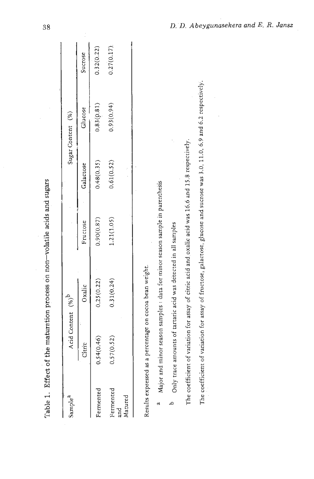| Sample <sup>a</sup>   | Acid Content (%) <sup>D</sup> |            |            |            | Sugar Content (%) |                |
|-----------------------|-------------------------------|------------|------------|------------|-------------------|----------------|
|                       | $\frac{1}{\sin \theta}$       | Oxalic     | Fructose   | Galactose  | Glucose           | Sucrose        |
| Fermented             | 0.54(0.46)                    | 0.25(0.22) | 0.90(0.87) | 0.48(0.35) | 0.83(0.81)        | 0.32(0.22)     |
| Fermented<br>and<br>G | 0.57(0.52)                    | 0.31(0.24) | 1.21(1.05) | 0.61(0.52) | 0.93(0.94)        | $0.27(0.17)$ . |
| Matured               |                               |            |            |            |                   |                |

Major and minor season samples : data for minor season sample in parenthesis

Only trace amounts of tartaric acid was detected in all samples م

The coefficient of variation for assay of citric acid and oxalic acid was 16.6 and 15.8 respectively.

The coefficient of variation for assay of fructose, galactose, glucose and sucrose was 3.0, 11.0, 6.9 and 6.2 respectively.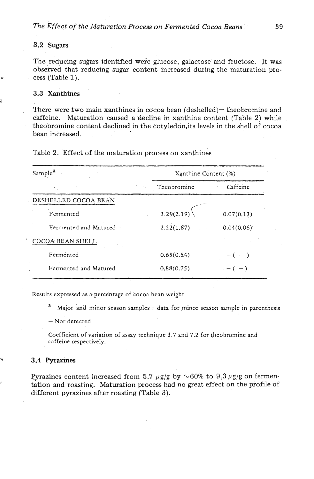## **3.2 Sugars**

The reducing sugars identified were glucose, galactose and fructose. It was observed that reducing sugar content increased during the maturation pro- $\circ$  cess (Table 1).

## **3.3 Xanthines 3**

There were two main xanthines in cocoa bean  $(deshelled)$ — theobromine and caffeine. Maturation caused a decline in xanthine content (Table 2) while theobromine content declined in the cotyledon,its levels in the shell of cocoa bean increased. .

Table 2. Effect of the maturation process on xanthines

| Sample <sup>a</sup>     | Xanthine Content (%) |            |  |
|-------------------------|----------------------|------------|--|
|                         | Theobromine          | Caffeine   |  |
| DESHELLED COCOA BEAN    |                      |            |  |
| Fermented               | 3.29(2.19)           | 0.07(0.13) |  |
| Fermented and Matured   | 2.22(1.87)           | 0.04(0.06) |  |
| <b>COCOA BEAN SHELL</b> |                      |            |  |
| Fermented               | 0.65(0.54)           | $-(-)$     |  |
| Fermented and Matured   | 0.88(0.75)           | $-(-)$     |  |

Results expressed as **a.** percentage of cocoa bean weight

<sup>a</sup> Major and minor season samples : data for minor season sample in parenthesis

- Not detected

Coefficient of variation of assay technique 3.7 and 7.2 for theobromine and caffeine respectively.

#### 3.4 Pyrazines

Pyrazines content increased from 5.7  $\mu$ g/g by  $\sim$  60% to 9.3  $\mu$ g/g on fermentation and roasting. Maturation process had no great effect on the profile of different pyrazines after roasting (Table **3).**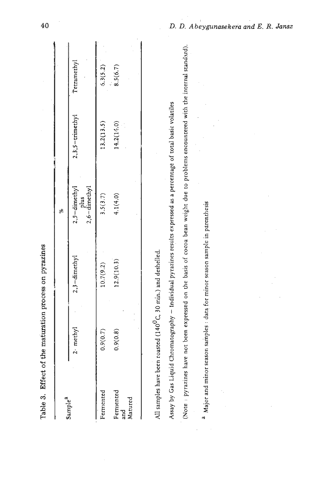| i<br>S                |
|-----------------------|
|                       |
| とうしょう こうしょう           |
| $\ddot{\text{}}$<br>ï |
| $\frac{1}{2}$<br>ĺ    |
|                       |
| i                     |
| l                     |
| ļ                     |

|                             |                                                                            |                                                                                                                      | Se                                   |                       |                |
|-----------------------------|----------------------------------------------------------------------------|----------------------------------------------------------------------------------------------------------------------|--------------------------------------|-----------------------|----------------|
| Sample <sup>a</sup>         | methyl                                                                     | $2,3$ -dimethyl                                                                                                      | plus<br>2,6-dimethyl<br>2,5-dimethyl | $2, 3, 5$ – trimethyl | $T$ etramethyl |
| Fernented                   | 0.9(0.7)                                                                   | 10.7(9.2)                                                                                                            | 3.5(3.7)                             | 13.2(13.5)            | 6.3(5.2)       |
| Fermented<br>Matured<br>and | 0.9(0.8)                                                                   | 12.9(10.3)                                                                                                           | 4.1(4.0)                             | 14.2(14.0)            | 8.5(6.7)       |
|                             | All samples have been roasted (140 <sup>0</sup> C, 30 min.) and deshelled. |                                                                                                                      |                                      |                       |                |
|                             |                                                                            | Assay by Gas Liquid Chromatography - Individual pyrazines results expressed as a percentage of total basic volatiles |                                      |                       |                |
| (Note: pyrazines have not   |                                                                            | been expressed on the basis of cocoa bean weight due to problems encountered with the internal standard).            |                                      |                       |                |
|                             |                                                                            |                                                                                                                      |                                      |                       |                |

 $^{\rm a}$  Major and minor season samples : data for minor season sample in parenthesis

J,

 $\gamma_{\rm g}$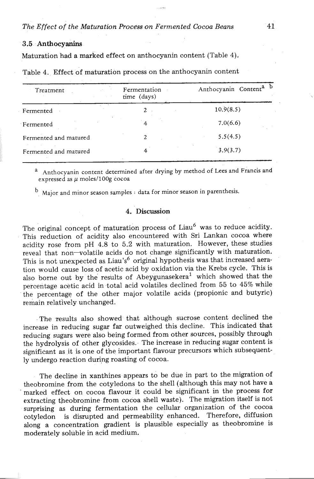# 3.5 **Anthocyanins**

Maturation had a marked effect on anthocyanin content (Table 4).

| Treatment             | Fermentation<br>time (days) | Anthocyanin Content <sup>a b</sup> |
|-----------------------|-----------------------------|------------------------------------|
| Fermented             |                             | 10.9(8.5)                          |
| Fermented             | 4                           | 7.0(6.6)                           |
| Fermented and matured | $\mathcal{D}_{\mathcal{L}}$ | 5.5(4.5)                           |
| Fermented and matured | 4                           | 3.9(3.7)                           |
|                       |                             |                                    |

Table 4. Effect of maturation process on the anthocyanin content

**a** Anthocyanin content determined after drying by method of Lees and Francis and expressed as  $\mu$  moles/100g cocoa

 $<sup>b</sup>$  Major and minor season samples : data for minor season in parenthesis.</sup>

# **4. Discussion**

The original concept of maturation process of Liau<sup>6</sup> was to reduce acidity. This reduction of acidity also encountered with Sri Lankan cocoa where acidity rose from pH 4.8 to 5.2 with maturation. However, these studies reveal that non-volatile acids do not change significantly with maturation. This is not unexpected as Liau's<sup>6</sup> original hypothesis was that increased aeration would cause loss of acetic acid by oxidation via the Krebs cycle. This is also borne out by the results of  $A$ beygunasekera<sup>1</sup> which showed that the percentage acetic acid in total acid volatiles declined from 55 to 45% while the percentage of the other major volatile acids (propionic and butyric) remain relatively unchanged.

The results also showed that although sucrose content declined the increase in reducing sugar far outweighed this decline. This indicated that reducing sugars were also being formed from other sources, possibly through the hydrolysis of other glycosides. The increase in reducing sugar content is significant as it is one of the important flavour precursors which subsequently undergo reaction during roasting of cocoa.

The decline in xanthines appears to be due in part to the migration of theobromine from the cotyledons to the shell (although this may not have a marked effect on cocoa flavour it could be significant in the process for extracting theobromine from cocoa shell waste). The migration itself is not surprising as during fermentation the cellular organization of the cocoa cotyledon is disrupted and permeability enhanced. Therefore, diffusion along a concentration gradient is plausible especially as theobromine is moderately soluble in acid medium.